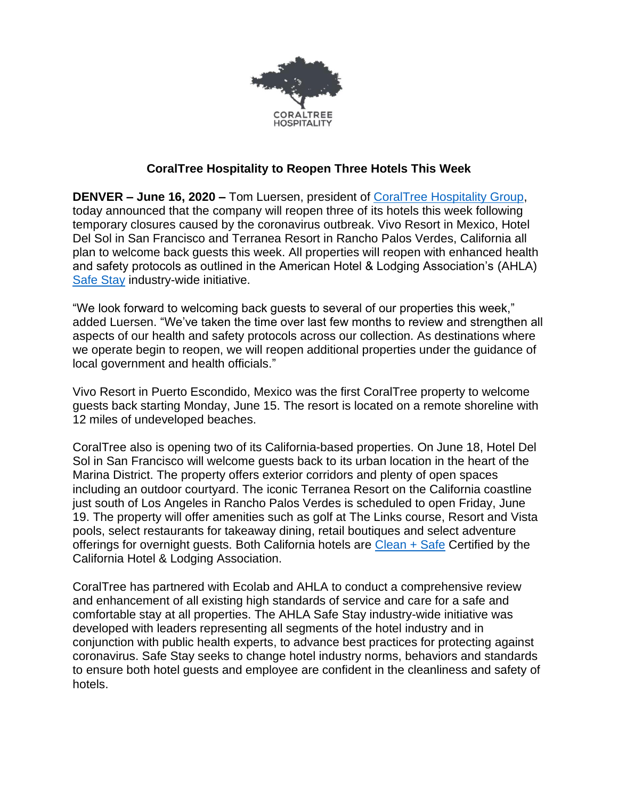

## **CoralTree Hospitality to Reopen Three Hotels This Week**

**DENVER – June 16, 2020 –** Tom Luersen, president of [CoralTree Hospitality Group,](https://www.coraltreehospitality.com/) today announced that the company will reopen three of its hotels this week following temporary closures caused by the coronavirus outbreak. Vivo Resort in Mexico, Hotel Del Sol in San Francisco and Terranea Resort in Rancho Palos Verdes, California all plan to welcome back guests this week. All properties will reopen with enhanced health and safety protocols as outlined in the American Hotel & Lodging Association's (AHLA) [Safe Stay](https://www.ahla.com/press-release/ahla-launches-safe-stay-enhanced-industry-wide-hotel-cleaning-standards) industry-wide initiative.

"We look forward to welcoming back guests to several of our properties this week," added Luersen. "We've taken the time over last few months to review and strengthen all aspects of our health and safety protocols across our collection. As destinations where we operate begin to reopen, we will reopen additional properties under the guidance of local government and health officials."

Vivo Resort in Puerto Escondido, Mexico was the first CoralTree property to welcome guests back starting Monday, June 15. The resort is located on a remote shoreline with 12 miles of undeveloped beaches.

CoralTree also is opening two of its California-based properties. On June 18, Hotel Del Sol in San Francisco will welcome guests back to its urban location in the heart of the Marina District. The property offers exterior corridors and plenty of open spaces including an outdoor courtyard. The iconic Terranea Resort on the California coastline just south of Los Angeles in Rancho Palos Verdes is scheduled to open Friday, June 19. The property will offer amenities such as golf at The Links course, Resort and Vista pools, select restaurants for takeaway dining, retail boutiques and select adventure offerings for overnight guests. Both California hotels are  $Clean + Safe$  Certified by the California Hotel & Lodging Association.

CoralTree has partnered with Ecolab and AHLA to conduct a comprehensive review and enhancement of all existing high standards of service and care for a safe and comfortable stay at all properties. The AHLA Safe Stay industry-wide initiative was developed with leaders representing all segments of the hotel industry and in conjunction with public health experts, to advance best practices for protecting against coronavirus. Safe Stay seeks to change hotel industry norms, behaviors and standards to ensure both hotel guests and employee are confident in the cleanliness and safety of hotels.